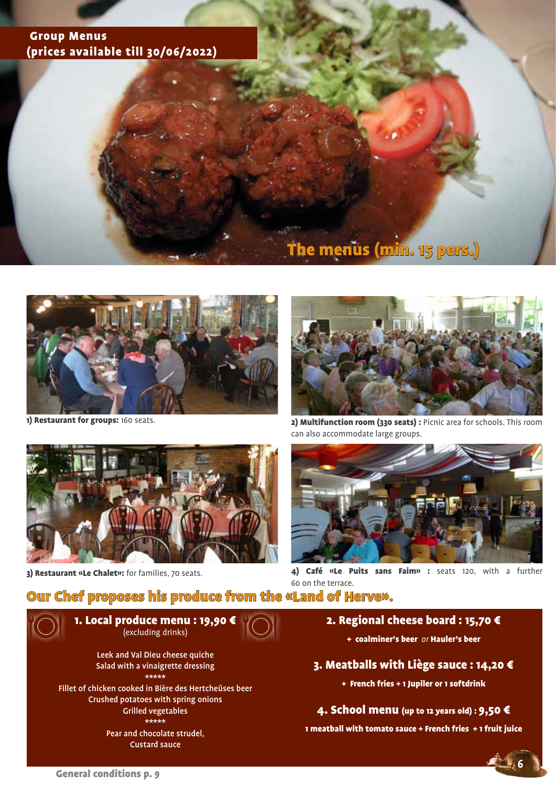## Group Menus (prices available till 30/06/2022)

# The menus (min. 15 pers.)



1) Restaurant for groups: 160 seats.



3) Restaurant «Le Chalet»: for families, 70 seats.



2) Multifunction room (330 seats) : Picnic area for schools. This room can also accommodate large groups.



4) Café «Le Puits sans Faim» : seats 120, with a further 60 on the terrace.

# Our Chef proposes his produce from the «Land of Herve».



\*\*\*\*\* Fillet of chicken cooked in Bière des Hertcheûses beer Crushed potatoes with spring onions Grilled vegetables \*\*\*\*\*

> Pear and chocolate strudel, Custard sauce

### 2. Regional cheese board : 15,70 €

+ coalminer's beer *or* Hauler's beer

#### 3. Meatballs with Liège sauce : 14,20 €

+ French fries + 1 Jupiler or 1 softdrink

4. School menu (up to 12 years old) : 9,50 €

1 meatball with tomato sauce + French fries + 1 fruit juice